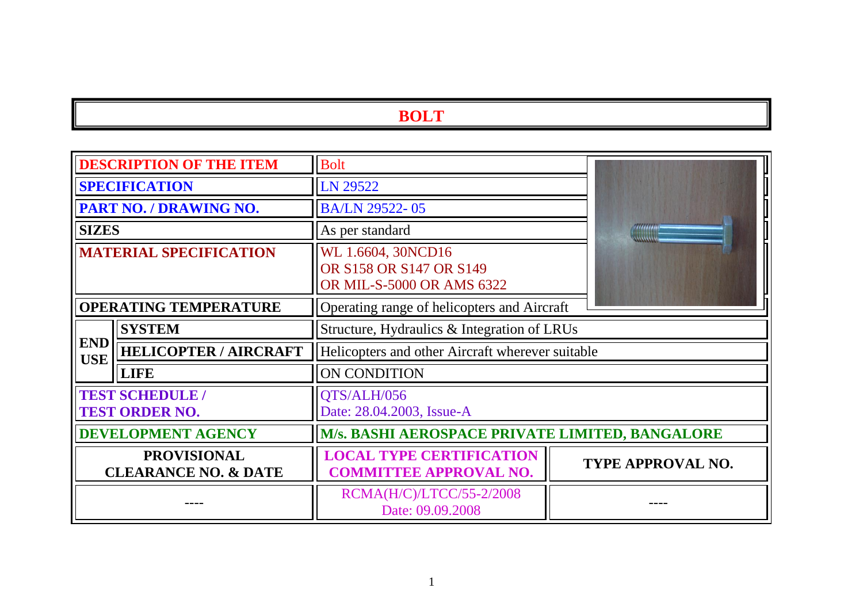|                                                       | <b>DESCRIPTION OF THE ITEM</b>                | <b>Bolt</b>                                                                |  |                   |
|-------------------------------------------------------|-----------------------------------------------|----------------------------------------------------------------------------|--|-------------------|
| <b>SPECIFICATION</b>                                  |                                               | LN 29522                                                                   |  |                   |
|                                                       | PART NO. / DRAWING NO.                        | BA/LN 29522-05                                                             |  |                   |
| <b>SIZES</b>                                          |                                               | As per standard                                                            |  |                   |
| <b>MATERIAL SPECIFICATION</b>                         |                                               | WL 1.6604, 30NCD16<br>OR S158 OR S147 OR S149<br>OR MIL-S-5000 OR AMS 6322 |  |                   |
| <b>OPERATING TEMPERATURE</b>                          |                                               | Operating range of helicopters and Aircraft                                |  |                   |
|                                                       | <b>SYSTEM</b>                                 | Structure, Hydraulics & Integration of LRUs                                |  |                   |
| <b>END</b><br><b>USE</b>                              | <b>HELICOPTER / AIRCRAFT</b>                  | Helicopters and other Aircraft wherever suitable                           |  |                   |
|                                                       | <b>LIFE</b>                                   | <b>ON CONDITION</b>                                                        |  |                   |
|                                                       | <b>TEST SCHEDULE</b><br><b>TEST ORDER NO.</b> | QTS/ALH/056<br>Date: 28.04.2003, Issue-A                                   |  |                   |
| <b>DEVELOPMENT AGENCY</b>                             |                                               | M/s. BASHI AEROSPACE PRIVATE LIMITED, BANGALORE                            |  |                   |
| <b>PROVISIONAL</b><br><b>CLEARANCE NO. &amp; DATE</b> |                                               | <b>LOCAL TYPE CERTIFICATION</b><br><b>COMMITTEE APPROVAL NO.</b>           |  | TYPE APPROVAL NO. |
|                                                       |                                               | RCMA(H/C)/LTCC/55-2/2008<br>Date: 09.09.2008                               |  |                   |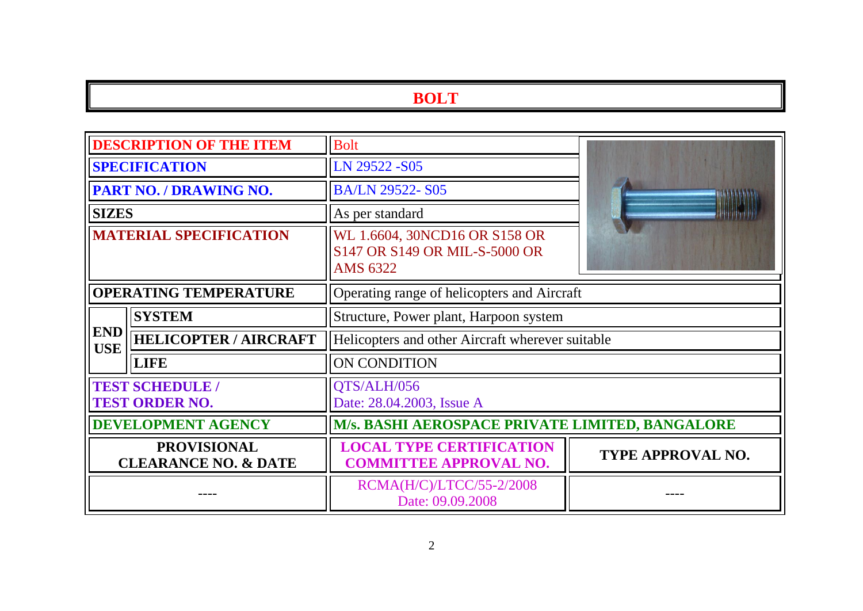|                                                       | <b>DESCRIPTION OF THE ITEM</b>                  | <b>Bolt</b>                                                                       |                   |  |
|-------------------------------------------------------|-------------------------------------------------|-----------------------------------------------------------------------------------|-------------------|--|
|                                                       | <b>SPECIFICATION</b>                            | LN 29522 -S05                                                                     |                   |  |
|                                                       | <b>PART NO. / DRAWING NO.</b>                   | <b>BA/LN 29522-S05</b>                                                            |                   |  |
| <b>SIZES</b>                                          |                                                 | As per standard                                                                   |                   |  |
| <b>MATERIAL SPECIFICATION</b>                         |                                                 | WL 1.6604, 30NCD16 OR S158 OR<br>S147 OR S149 OR MIL-S-5000 OR<br><b>AMS 6322</b> |                   |  |
| <b>OPERATING TEMPERATURE</b>                          |                                                 | Operating range of helicopters and Aircraft                                       |                   |  |
| <b>SYSTEM</b>                                         |                                                 | Structure, Power plant, Harpoon system                                            |                   |  |
| <b>END</b><br><b>USE</b>                              | <b>HELICOPTER / AIRCRAFT</b>                    | Helicopters and other Aircraft wherever suitable                                  |                   |  |
|                                                       | <b>LIFE</b>                                     | <b>ON CONDITION</b>                                                               |                   |  |
|                                                       | <b>TEST SCHEDULE /</b><br><b>TEST ORDER NO.</b> | QTS/ALH/056<br>Date: 28.04.2003, Issue A                                          |                   |  |
| <b>DEVELOPMENT AGENCY</b>                             |                                                 | M/s. BASHI AEROSPACE PRIVATE LIMITED, BANGALORE                                   |                   |  |
| <b>PROVISIONAL</b><br><b>CLEARANCE NO. &amp; DATE</b> |                                                 | <b>LOCAL TYPE CERTIFICATION</b><br><b>COMMITTEE APPROVAL NO.</b>                  | TYPE APPROVAL NO. |  |
|                                                       |                                                 | RCMA(H/C)/LTCC/55-2/2008<br>Date: 09.09.2008                                      |                   |  |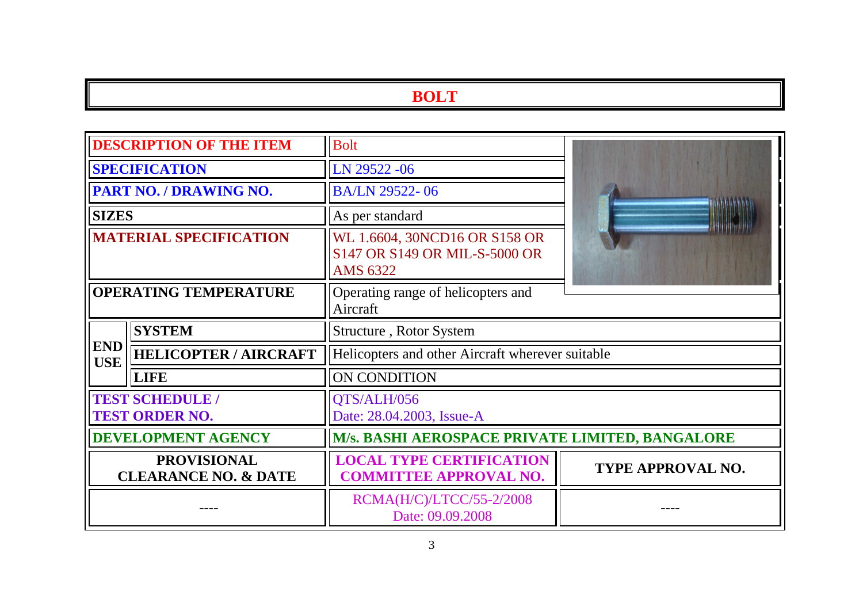| <b>DESCRIPTION OF THE ITEM</b>                        |                              | <b>Bolt</b>                                                                       |                          |  |
|-------------------------------------------------------|------------------------------|-----------------------------------------------------------------------------------|--------------------------|--|
| <b>SPECIFICATION</b>                                  |                              | LN 29522 -06                                                                      |                          |  |
|                                                       | PART NO. / DRAWING NO.       | <b>BA/LN 29522-06</b>                                                             |                          |  |
| <b>SIZES</b>                                          |                              | As per standard                                                                   |                          |  |
| <b>MATERIAL SPECIFICATION</b>                         |                              | WL 1.6604, 30NCD16 OR S158 OR<br>S147 OR S149 OR MIL-S-5000 OR<br><b>AMS 6322</b> |                          |  |
| <b>OPERATING TEMPERATURE</b>                          |                              | Operating range of helicopters and<br>Aircraft                                    |                          |  |
|                                                       | <b>SYSTEM</b>                | Structure, Rotor System                                                           |                          |  |
| <b>END</b><br><b>USE</b>                              | <b>HELICOPTER / AIRCRAFT</b> | Helicopters and other Aircraft wherever suitable                                  |                          |  |
|                                                       | <b>LIFE</b>                  | ON CONDITION                                                                      |                          |  |
| <b>TEST SCHEDULE /</b><br><b>TEST ORDER NO.</b>       |                              | QTS/ALH/056<br>Date: 28.04.2003, Issue-A                                          |                          |  |
| <b>DEVELOPMENT AGENCY</b>                             |                              | M/s. BASHI AEROSPACE PRIVATE LIMITED, BANGALORE                                   |                          |  |
| <b>PROVISIONAL</b><br><b>CLEARANCE NO. &amp; DATE</b> |                              | <b>LOCAL TYPE CERTIFICATION</b><br><b>COMMITTEE APPROVAL NO.</b>                  | <b>TYPE APPROVAL NO.</b> |  |
|                                                       |                              | RCMA(H/C)/LTCC/55-2/2008<br>Date: 09.09.2008                                      |                          |  |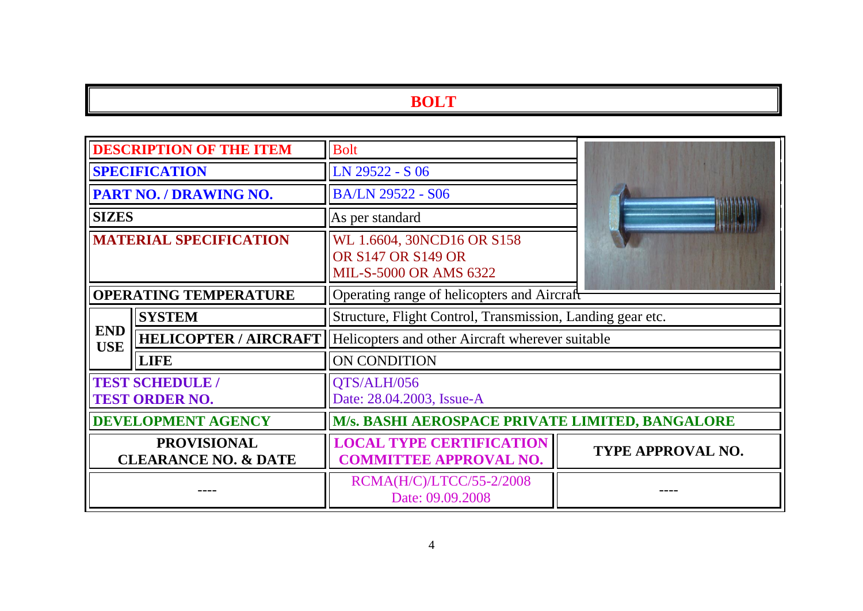|                                                       | <b>DESCRIPTION OF THE ITEM</b>                  | <b>Bolt</b>                                                                       |                          |
|-------------------------------------------------------|-------------------------------------------------|-----------------------------------------------------------------------------------|--------------------------|
| <b>SPECIFICATION</b>                                  |                                                 | LN 29522 - S 06                                                                   |                          |
|                                                       | PART NO. / DRAWING NO.                          | <b>BA/LN 29522 - S06</b>                                                          |                          |
| <b>SIZES</b>                                          |                                                 | As per standard                                                                   |                          |
| <b>MATERIAL SPECIFICATION</b>                         |                                                 | WL 1.6604, 30NCD16 OR S158<br>OR S147 OR S149 OR<br><b>MIL-S-5000 OR AMS 6322</b> |                          |
| <b>OPERATING TEMPERATURE</b>                          |                                                 | Operating range of helicopters and Aircraft                                       |                          |
| <b>SYSTEM</b>                                         |                                                 | Structure, Flight Control, Transmission, Landing gear etc.                        |                          |
| <b>END</b><br><b>USE</b>                              | <b>HELICOPTER / AIRCRAFT</b>                    | Helicopters and other Aircraft wherever suitable                                  |                          |
|                                                       | <b>LIFE</b>                                     | ON CONDITION                                                                      |                          |
|                                                       | <b>TEST SCHEDULE /</b><br><b>TEST ORDER NO.</b> | QTS/ALH/056<br>Date: 28.04.2003, Issue-A                                          |                          |
| <b>DEVELOPMENT AGENCY</b>                             |                                                 | M/s. BASHI AEROSPACE PRIVATE LIMITED, BANGALORE                                   |                          |
| <b>PROVISIONAL</b><br><b>CLEARANCE NO. &amp; DATE</b> |                                                 | <b>LOCAL TYPE CERTIFICATION</b><br><b>COMMITTEE APPROVAL NO.</b>                  | <b>TYPE APPROVAL NO.</b> |
|                                                       |                                                 | RCMA(H/C)/LTCC/55-2/2008<br>Date: 09.09.2008                                      |                          |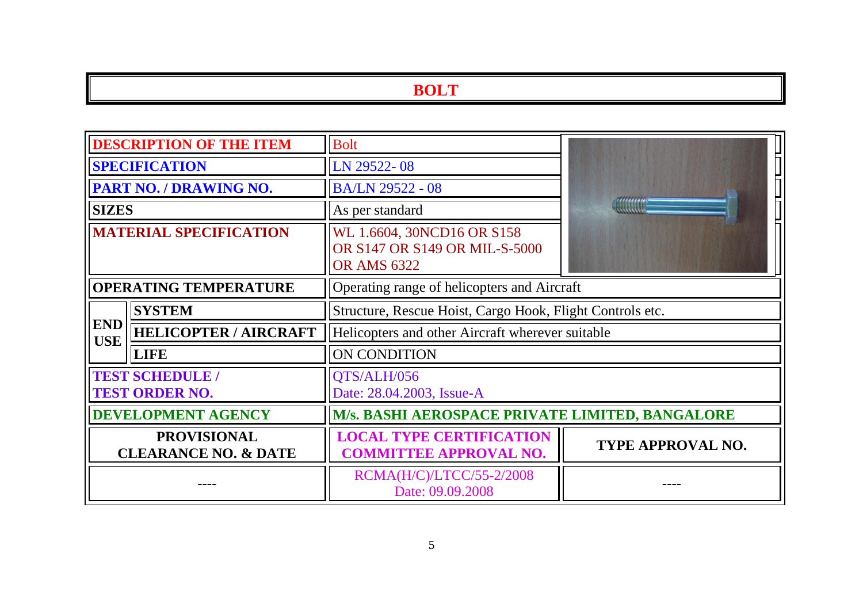| <b>DESCRIPTION OF THE ITEM</b>                        |                              | <b>Bolt</b>                                                                       |                          |  |
|-------------------------------------------------------|------------------------------|-----------------------------------------------------------------------------------|--------------------------|--|
| <b>SPECIFICATION</b>                                  |                              | LN 29522-08                                                                       |                          |  |
|                                                       | PART NO. / DRAWING NO.       | <b>BA/LN 29522 - 08</b>                                                           |                          |  |
| <b>SIZES</b>                                          |                              | As per standard                                                                   |                          |  |
| <b>MATERIAL SPECIFICATION</b>                         |                              | WL 1.6604, 30NCD16 OR S158<br>OR S147 OR S149 OR MIL-S-5000<br><b>OR AMS 6322</b> |                          |  |
| <b>OPERATING TEMPERATURE</b>                          |                              | Operating range of helicopters and Aircraft                                       |                          |  |
| <b>SYSTEM</b>                                         |                              | Structure, Rescue Hoist, Cargo Hook, Flight Controls etc.                         |                          |  |
| <b>END</b><br><b>USE</b>                              | <b>HELICOPTER / AIRCRAFT</b> | Helicopters and other Aircraft wherever suitable                                  |                          |  |
|                                                       | <b>LIFE</b>                  | ON CONDITION                                                                      |                          |  |
| <b>TEST SCHEDULE /</b><br><b>TEST ORDER NO.</b>       |                              | QTS/ALH/056<br>Date: 28.04.2003, Issue-A                                          |                          |  |
| <b>DEVELOPMENT AGENCY</b>                             |                              | M/s. BASHI AEROSPACE PRIVATE LIMITED, BANGALORE                                   |                          |  |
| <b>PROVISIONAL</b><br><b>CLEARANCE NO. &amp; DATE</b> |                              | <b>LOCAL TYPE CERTIFICATION</b><br><b>COMMITTEE APPROVAL NO.</b>                  | <b>TYPE APPROVAL NO.</b> |  |
|                                                       |                              | RCMA(H/C)/LTCC/55-2/2008<br>Date: 09.09.2008                                      |                          |  |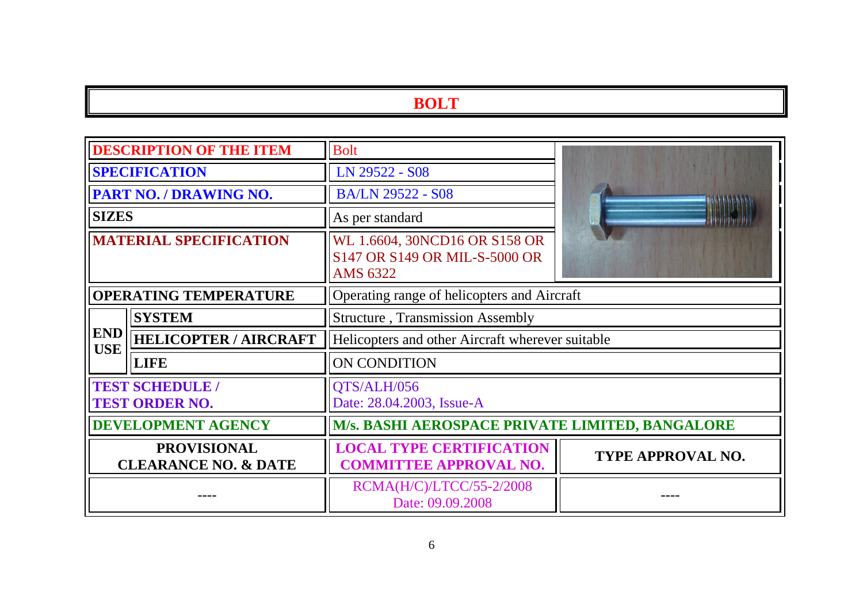| <b>DESCRIPTION OF THE ITEM</b>                        |                              | <b>Bolt</b>                                                                |                   |  |
|-------------------------------------------------------|------------------------------|----------------------------------------------------------------------------|-------------------|--|
| <b>SPECIFICATION</b>                                  |                              | LN 29522 - S08                                                             |                   |  |
|                                                       | PART NO. / DRAWING NO.       | <b>BA/LN 29522 - S08</b>                                                   |                   |  |
| <b>SIZES</b>                                          |                              | As per standard                                                            |                   |  |
| <b>MATERIAL SPECIFICATION</b>                         |                              | WL 1.6604, 30NCD16 OR S158 OR<br>S147 OR S149 OR MIL-S-5000 OR<br>AMS 6322 |                   |  |
| <b>OPERATING TEMPERATURE</b>                          |                              | Operating range of helicopters and Aircraft                                |                   |  |
|                                                       | <b>SYSTEM</b>                | <b>Structure</b> , Transmission Assembly                                   |                   |  |
| <b>END</b><br><b>USE</b>                              | <b>HELICOPTER / AIRCRAFT</b> | Helicopters and other Aircraft wherever suitable                           |                   |  |
|                                                       | <b>LIFE</b>                  | ON CONDITION                                                               |                   |  |
| <b>TEST SCHEDULE /</b><br><b>TEST ORDER NO.</b>       |                              | QTS/ALH/056<br>Date: 28.04.2003, Issue-A                                   |                   |  |
| <b>DEVELOPMENT AGENCY</b>                             |                              | <b>M/s. BASHI AEROSPACE PRIVATE LIMITED, BANGALORE</b>                     |                   |  |
| <b>PROVISIONAL</b><br><b>CLEARANCE NO. &amp; DATE</b> |                              | <b>LOCAL TYPE CERTIFICATION</b><br><b>COMMITTEE APPROVAL NO.</b>           | TYPE APPROVAL NO. |  |
|                                                       |                              | RCMA(H/C)/LTCC/55-2/2008<br>Date: 09.09.2008                               |                   |  |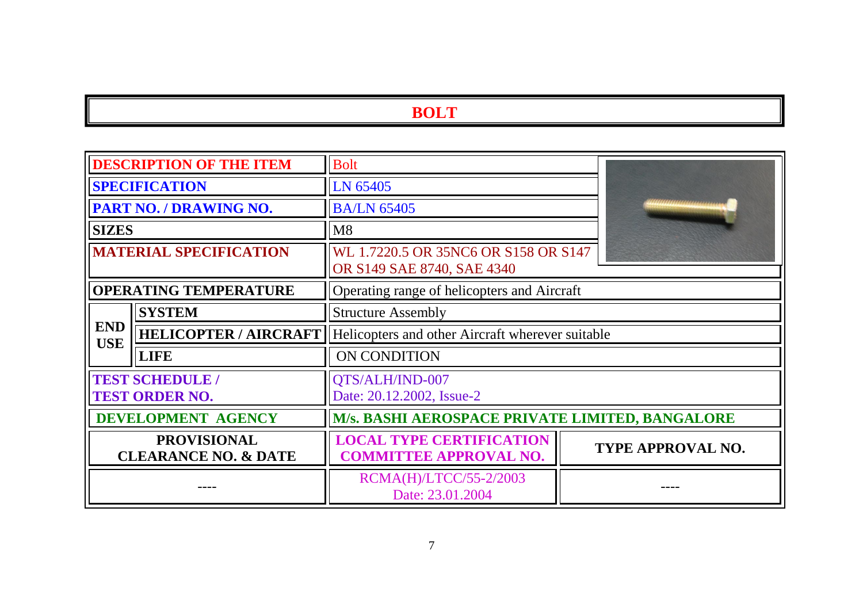|                                                       | <b>DESCRIPTION OF THE ITEM</b>                  | <b>Bolt</b>                                                        |  |                          |
|-------------------------------------------------------|-------------------------------------------------|--------------------------------------------------------------------|--|--------------------------|
| <b>SPECIFICATION</b>                                  |                                                 | LN 65405                                                           |  |                          |
|                                                       | PART NO. / DRAWING NO.                          | <b>BA/LN 65405</b>                                                 |  |                          |
| <b>SIZES</b>                                          |                                                 | M8                                                                 |  |                          |
|                                                       | <b>MATERIAL SPECIFICATION</b>                   | WL 1.7220.5 OR 35NC6 OR S158 OR S147<br>OR S149 SAE 8740, SAE 4340 |  |                          |
|                                                       | <b>OPERATING TEMPERATURE</b>                    | Operating range of helicopters and Aircraft                        |  |                          |
|                                                       | <b>SYSTEM</b>                                   | <b>Structure Assembly</b>                                          |  |                          |
| <b>END</b><br><b>USE</b>                              | <b>HELICOPTER / AIRCRAFT</b>                    | Helicopters and other Aircraft wherever suitable                   |  |                          |
|                                                       | <b>LIFE</b>                                     | <b>ON CONDITION</b>                                                |  |                          |
|                                                       | <b>TEST SCHEDULE /</b><br><b>TEST ORDER NO.</b> | QTS/ALH/IND-007<br>Date: 20.12.2002, Issue-2                       |  |                          |
| DEVELOPMENT AGENCY                                    |                                                 | M/s. BASHI AEROSPACE PRIVATE LIMITED, BANGALORE                    |  |                          |
| <b>PROVISIONAL</b><br><b>CLEARANCE NO. &amp; DATE</b> |                                                 | <b>LOCAL TYPE CERTIFICATION</b><br><b>COMMITTEE APPROVAL NO.</b>   |  | <b>TYPE APPROVAL NO.</b> |
|                                                       |                                                 | RCMA(H)/LTCC/55-2/2003<br>Date: 23.01.2004                         |  |                          |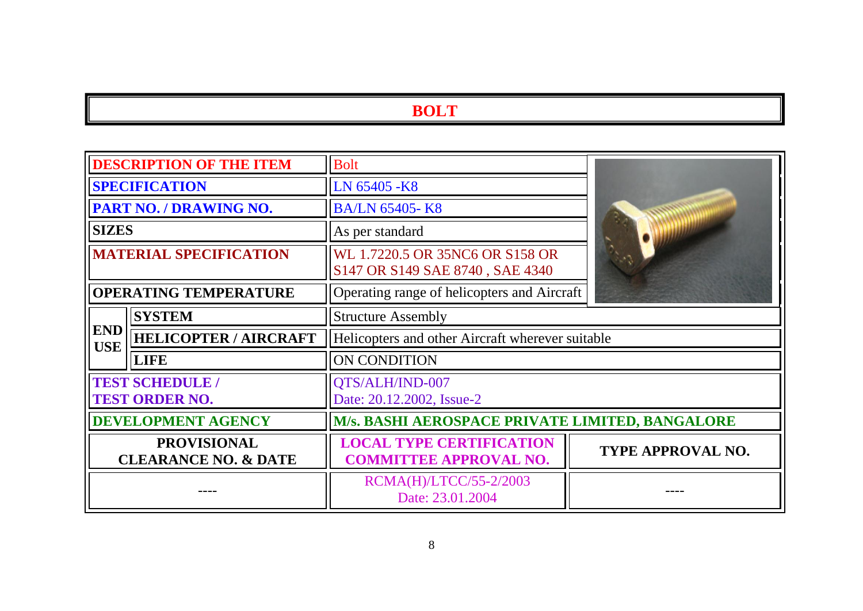|                                                       | <b>DESCRIPTION OF THE ITEM</b>                  | <b>Bolt</b>                                                        |                          |
|-------------------------------------------------------|-------------------------------------------------|--------------------------------------------------------------------|--------------------------|
|                                                       | <b>SPECIFICATION</b>                            | LN 65405 -K8                                                       |                          |
|                                                       | PART NO. / DRAWING NO.                          | <b>BA/LN 65405-K8</b>                                              |                          |
| <b>SIZES</b>                                          |                                                 | As per standard                                                    |                          |
| <b>MATERIAL SPECIFICATION</b>                         |                                                 | WL 1.7220.5 OR 35NC6 OR S158 OR<br>S147 OR S149 SAE 8740, SAE 4340 |                          |
|                                                       | <b>OPERATING TEMPERATURE</b>                    | Operating range of helicopters and Aircraft                        |                          |
|                                                       | <b>SYSTEM</b>                                   | <b>Structure Assembly</b>                                          |                          |
| <b>END</b><br><b>USE</b>                              | <b>HELICOPTER / AIRCRAFT</b>                    | Helicopters and other Aircraft wherever suitable                   |                          |
|                                                       | <b>LIFE</b>                                     | <b>ON CONDITION</b>                                                |                          |
|                                                       | <b>TEST SCHEDULE /</b><br><b>TEST ORDER NO.</b> | QTS/ALH/IND-007<br>Date: 20.12.2002, Issue-2                       |                          |
| <b>DEVELOPMENT AGENCY</b>                             |                                                 | M/s. BASHI AEROSPACE PRIVATE LIMITED, BANGALORE                    |                          |
| <b>PROVISIONAL</b><br><b>CLEARANCE NO. &amp; DATE</b> |                                                 | <b>LOCAL TYPE CERTIFICATION</b><br><b>COMMITTEE APPROVAL NO.</b>   | <b>TYPE APPROVAL NO.</b> |
|                                                       |                                                 | RCMA(H)/LTCC/55-2/2003<br>Date: 23.01.2004                         |                          |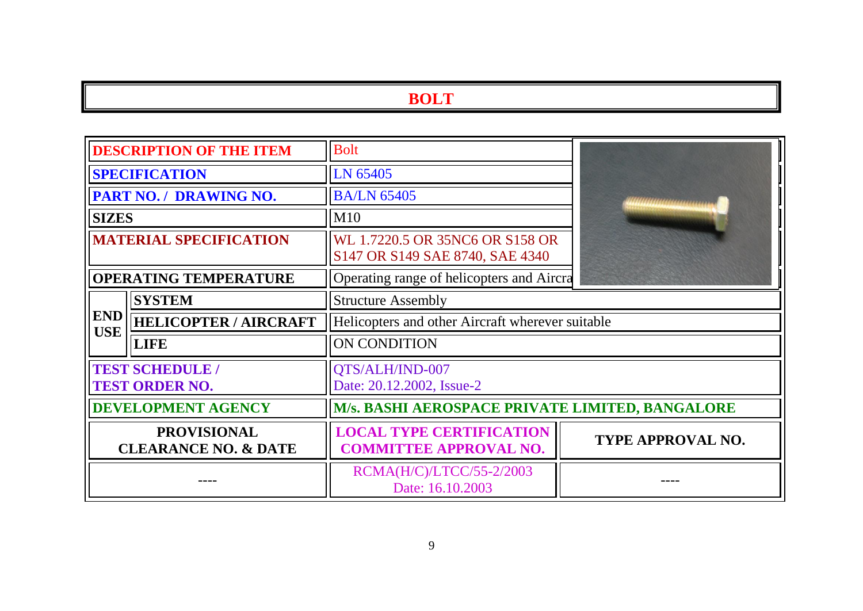| <b>DESCRIPTION OF THE ITEM</b>                        |                                                 | <b>Bolt</b>                                                        |                   |  |
|-------------------------------------------------------|-------------------------------------------------|--------------------------------------------------------------------|-------------------|--|
|                                                       | <b>SPECIFICATION</b>                            | LN 65405                                                           |                   |  |
|                                                       | PART NO. / DRAWING NO.                          | <b>BA/LN 65405</b>                                                 |                   |  |
| <b>SIZES</b>                                          |                                                 | M10                                                                |                   |  |
| <b>MATERIAL SPECIFICATION</b>                         |                                                 | WL 1.7220.5 OR 35NC6 OR S158 OR<br>S147 OR S149 SAE 8740, SAE 4340 |                   |  |
|                                                       | <b>OPERATING TEMPERATURE</b>                    | Operating range of helicopters and Aircra                          |                   |  |
|                                                       | <b>SYSTEM</b>                                   | <b>Structure Assembly</b>                                          |                   |  |
| <b>END</b><br><b>USE</b>                              | <b>HELICOPTER / AIRCRAFT</b>                    | Helicopters and other Aircraft wherever suitable                   |                   |  |
|                                                       | <b>LIFE</b>                                     | <b>ON CONDITION</b>                                                |                   |  |
|                                                       | <b>TEST SCHEDULE /</b><br><b>TEST ORDER NO.</b> | QTS/ALH/IND-007<br>Date: 20.12.2002, Issue-2                       |                   |  |
| <b>DEVELOPMENT AGENCY</b>                             |                                                 | M/s. BASHI AEROSPACE PRIVATE LIMITED, BANGALORE                    |                   |  |
| <b>PROVISIONAL</b><br><b>CLEARANCE NO. &amp; DATE</b> |                                                 | <b>LOCAL TYPE CERTIFICATION</b><br><b>COMMITTEE APPROVAL NO.</b>   | TYPE APPROVAL NO. |  |
|                                                       |                                                 | RCMA(H/C)/LTCC/55-2/2003<br>Date: 16.10.2003                       |                   |  |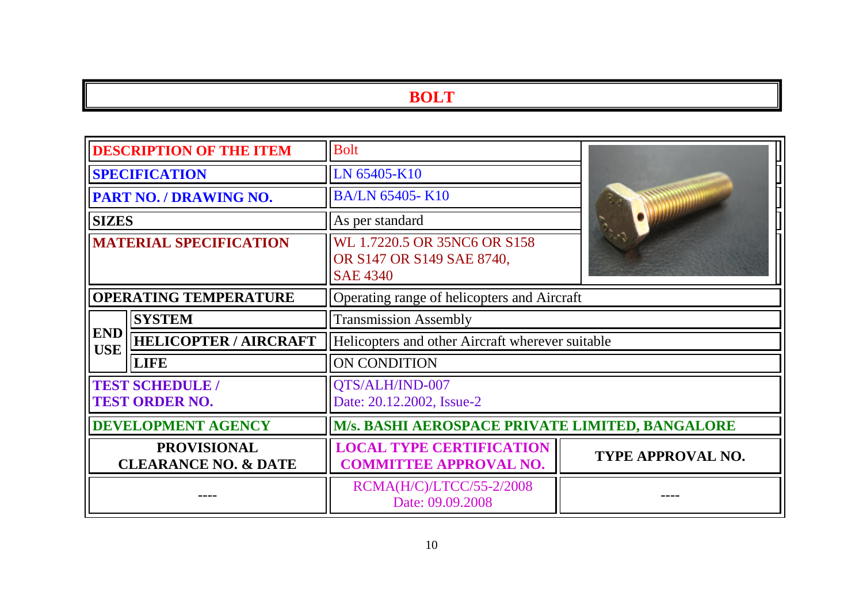| <b>DESCRIPTION OF THE ITEM</b>                        |                                                 | <b>Bolt</b>                                                                  |                   |  |
|-------------------------------------------------------|-------------------------------------------------|------------------------------------------------------------------------------|-------------------|--|
| <b>SPECIFICATION</b>                                  |                                                 | LN 65405-K10                                                                 |                   |  |
|                                                       | PART NO. / DRAWING NO.                          | <b>BA/LN 65405-K10</b>                                                       |                   |  |
| <b>SIZES</b>                                          |                                                 | As per standard                                                              |                   |  |
| <b>MATERIAL SPECIFICATION</b>                         |                                                 | WL 1.7220.5 OR 35NC6 OR S158<br>OR S147 OR S149 SAE 8740,<br><b>SAE 4340</b> |                   |  |
| <b>OPERATING TEMPERATURE</b>                          |                                                 | Operating range of helicopters and Aircraft                                  |                   |  |
|                                                       | <b>SYSTEM</b>                                   | <b>Transmission Assembly</b>                                                 |                   |  |
| <b>END</b><br><b>USE</b>                              | <b>HELICOPTER / AIRCRAFT</b>                    | Helicopters and other Aircraft wherever suitable                             |                   |  |
|                                                       | <b>LIFE</b>                                     | ON CONDITION                                                                 |                   |  |
|                                                       | <b>TEST SCHEDULE /</b><br><b>TEST ORDER NO.</b> | QTS/ALH/IND-007<br>Date: 20.12.2002, Issue-2                                 |                   |  |
| <b>DEVELOPMENT AGENCY</b>                             |                                                 | M/s. BASHI AEROSPACE PRIVATE LIMITED, BANGALORE                              |                   |  |
| <b>PROVISIONAL</b><br><b>CLEARANCE NO. &amp; DATE</b> |                                                 | <b>LOCAL TYPE CERTIFICATION</b><br><b>COMMITTEE APPROVAL NO.</b>             | TYPE APPROVAL NO. |  |
|                                                       |                                                 | RCMA(H/C)/LTCC/55-2/2008<br>Date: 09.09.2008                                 |                   |  |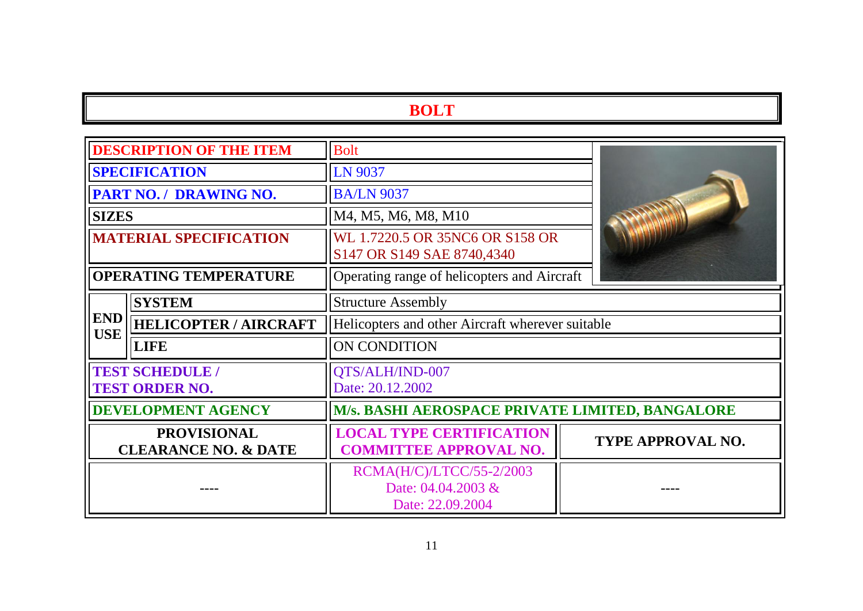|                                                       | <b>DESCRIPTION OF THE ITEM</b>                  | <b>Bolt</b>                                                        |                          |  |
|-------------------------------------------------------|-------------------------------------------------|--------------------------------------------------------------------|--------------------------|--|
| <b>SPECIFICATION</b>                                  |                                                 | LN 9037                                                            |                          |  |
|                                                       | PART NO. / DRAWING NO.                          | <b>BA/LN 9037</b>                                                  |                          |  |
| <b>SIZES</b>                                          |                                                 | M4, M5, M6, M8, M10                                                |                          |  |
| <b>MATERIAL SPECIFICATION</b>                         |                                                 | WL 1.7220.5 OR 35NC6 OR S158 OR<br>S147 OR S149 SAE 8740,4340      |                          |  |
| <b>OPERATING TEMPERATURE</b>                          |                                                 | Operating range of helicopters and Aircraft                        |                          |  |
|                                                       | <b>SYSTEM</b>                                   | <b>Structure Assembly</b>                                          |                          |  |
| <b>END</b><br><b>USE</b>                              | <b>HELICOPTER / AIRCRAFT</b>                    | Helicopters and other Aircraft wherever suitable                   |                          |  |
|                                                       | <b>LIFE</b>                                     | ON CONDITION                                                       |                          |  |
|                                                       | <b>TEST SCHEDULE /</b><br><b>TEST ORDER NO.</b> | QTS/ALH/IND-007<br>Date: 20.12.2002                                |                          |  |
|                                                       | <b>DEVELOPMENT AGENCY</b>                       | M/s. BASHI AEROSPACE PRIVATE LIMITED, BANGALORE                    |                          |  |
| <b>PROVISIONAL</b><br><b>CLEARANCE NO. &amp; DATE</b> |                                                 | <b>LOCAL TYPE CERTIFICATION</b><br><b>COMMITTEE APPROVAL NO.</b>   | <b>TYPE APPROVAL NO.</b> |  |
|                                                       |                                                 | RCMA(H/C)/LTCC/55-2/2003<br>Date: 04.04.2003 &<br>Date: 22.09.2004 |                          |  |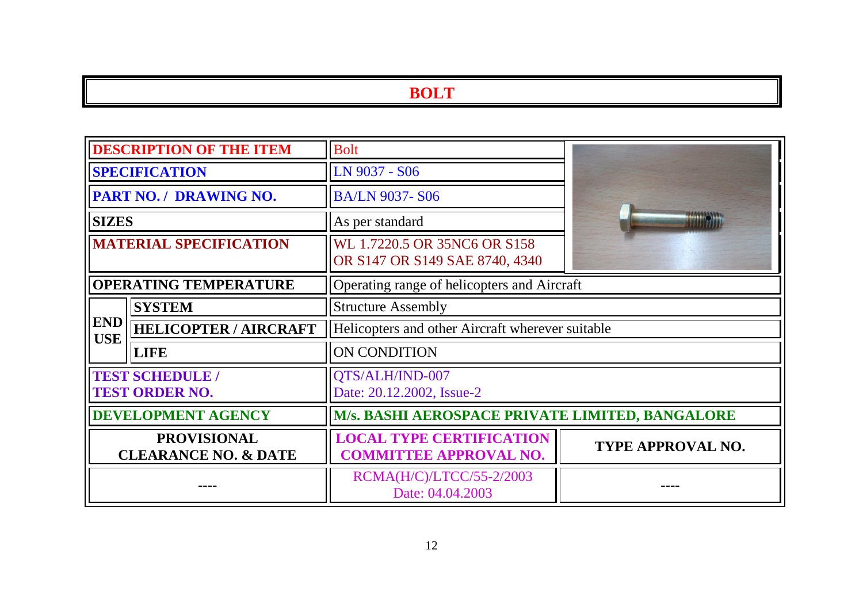| <b>DESCRIPTION OF THE ITEM</b>                        |                               | <b>Bolt</b>                                                      |                          |  |
|-------------------------------------------------------|-------------------------------|------------------------------------------------------------------|--------------------------|--|
| <b>SPECIFICATION</b>                                  |                               | LN 9037 - S06                                                    |                          |  |
|                                                       | <b>PART NO. / DRAWING NO.</b> | <b>BA/LN 9037-S06</b>                                            |                          |  |
| <b>SIZES</b>                                          |                               | As per standard                                                  |                          |  |
| <b>MATERIAL SPECIFICATION</b>                         |                               | WL 1.7220.5 OR 35NC6 OR S158<br>OR S147 OR S149 SAE 8740, 4340   |                          |  |
| <b>OPERATING TEMPERATURE</b>                          |                               | Operating range of helicopters and Aircraft                      |                          |  |
|                                                       | <b>SYSTEM</b>                 | <b>Structure Assembly</b>                                        |                          |  |
| <b>END</b><br><b>USE</b>                              | <b>HELICOPTER / AIRCRAFT</b>  | Helicopters and other Aircraft wherever suitable                 |                          |  |
|                                                       | <b>LIFE</b>                   | <b>ON CONDITION</b>                                              |                          |  |
| <b>TEST SCHEDULE /</b><br><b>TEST ORDER NO.</b>       |                               | QTS/ALH/IND-007<br>Date: 20.12.2002, Issue-2                     |                          |  |
| <b>DEVELOPMENT AGENCY</b>                             |                               | M/s. BASHI AEROSPACE PRIVATE LIMITED, BANGALORE                  |                          |  |
| <b>PROVISIONAL</b><br><b>CLEARANCE NO. &amp; DATE</b> |                               | <b>LOCAL TYPE CERTIFICATION</b><br><b>COMMITTEE APPROVAL NO.</b> | <b>TYPE APPROVAL NO.</b> |  |
|                                                       |                               | RCMA(H/C)/LTCC/55-2/2003<br>Date: 04.04.2003                     |                          |  |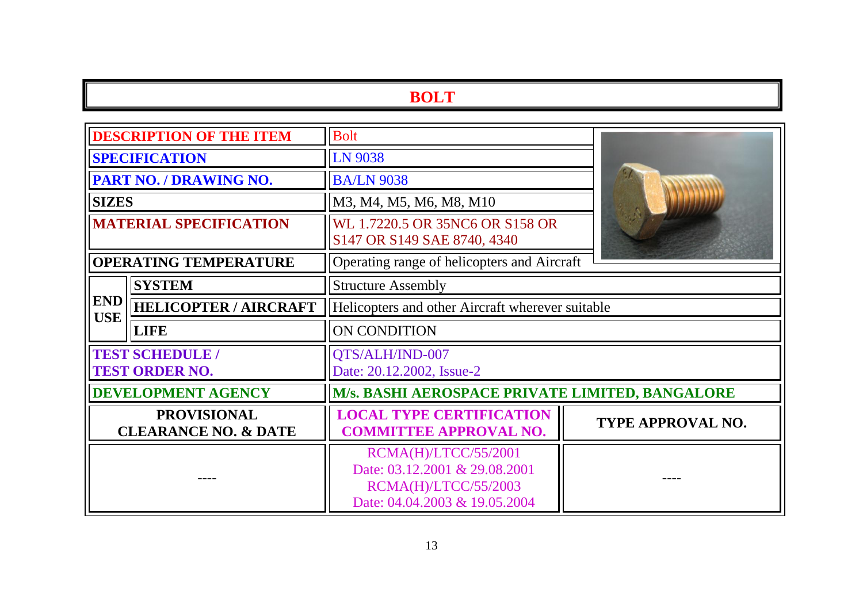| <b>DESCRIPTION OF THE ITEM</b>                        |                              | <b>Bolt</b>                                                                                                           |                          |  |
|-------------------------------------------------------|------------------------------|-----------------------------------------------------------------------------------------------------------------------|--------------------------|--|
| <b>SPECIFICATION</b>                                  |                              | <b>LN 9038</b>                                                                                                        |                          |  |
| PART NO. / DRAWING NO.                                |                              | <b>BA/LN 9038</b>                                                                                                     |                          |  |
| <b>SIZES</b>                                          |                              | M3, M4, M5, M6, M8, M10                                                                                               |                          |  |
| <b>MATERIAL SPECIFICATION</b>                         |                              | WL 1.7220.5 OR 35NC6 OR S158 OR<br>S147 OR S149 SAE 8740, 4340                                                        |                          |  |
| <b>OPERATING TEMPERATURE</b>                          |                              | Operating range of helicopters and Aircraft                                                                           |                          |  |
|                                                       | <b>SYSTEM</b>                | <b>Structure Assembly</b>                                                                                             |                          |  |
| <b>END</b><br><b>USE</b>                              | <b>HELICOPTER / AIRCRAFT</b> | Helicopters and other Aircraft wherever suitable                                                                      |                          |  |
|                                                       | <b>LIFE</b>                  | <b>ON CONDITION</b>                                                                                                   |                          |  |
| <b>TEST SCHEDULE /</b><br><b>TEST ORDER NO.</b>       |                              | QTS/ALH/IND-007<br>Date: 20.12.2002, Issue-2                                                                          |                          |  |
| <b>DEVELOPMENT AGENCY</b>                             |                              | M/s. BASHI AEROSPACE PRIVATE LIMITED, BANGALORE                                                                       |                          |  |
| <b>PROVISIONAL</b><br><b>CLEARANCE NO. &amp; DATE</b> |                              | <b>LOCAL TYPE CERTIFICATION</b><br><b>COMMITTEE APPROVAL NO.</b>                                                      | <b>TYPE APPROVAL NO.</b> |  |
|                                                       |                              | RCMA(H)/LTCC/55/2001<br>Date: 03.12.2001 & 29.08.2001<br><b>RCMA(H)/LTCC/55/2003</b><br>Date: 04.04.2003 & 19.05.2004 |                          |  |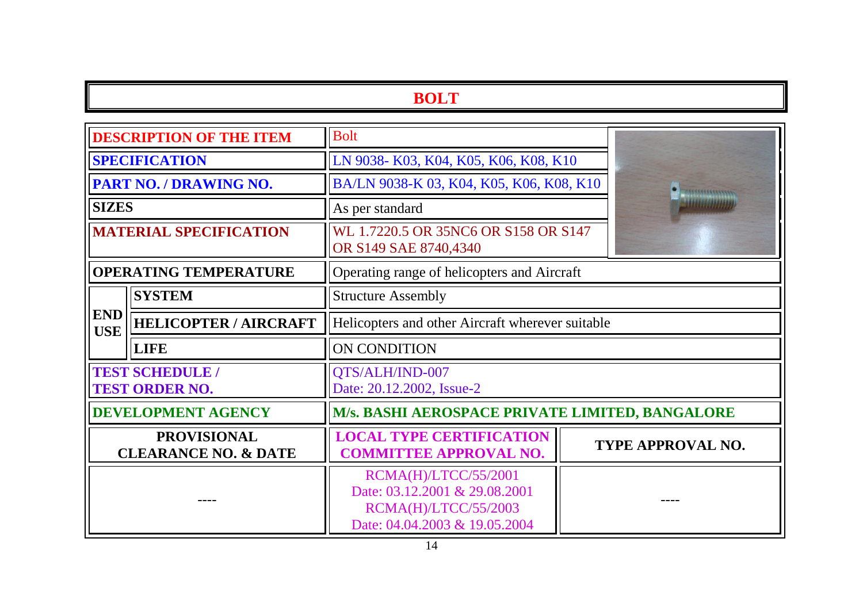| <b>DESCRIPTION OF THE ITEM</b>                        |                              | <b>Bolt</b>                                                                                                           |  |                   |
|-------------------------------------------------------|------------------------------|-----------------------------------------------------------------------------------------------------------------------|--|-------------------|
| <b>SPECIFICATION</b>                                  |                              | LN 9038-K03, K04, K05, K06, K08, K10                                                                                  |  |                   |
| <b>PART NO. / DRAWING NO.</b>                         |                              | BA/LN 9038-K 03, K04, K05, K06, K08, K10                                                                              |  |                   |
| <b>SIZES</b>                                          |                              | As per standard                                                                                                       |  |                   |
| <b>MATERIAL SPECIFICATION</b>                         |                              | WL 1.7220.5 OR 35NC6 OR S158 OR S147<br>OR S149 SAE 8740,4340                                                         |  |                   |
| <b>OPERATING TEMPERATURE</b>                          |                              | Operating range of helicopters and Aircraft                                                                           |  |                   |
|                                                       | <b>SYSTEM</b>                | <b>Structure Assembly</b>                                                                                             |  |                   |
| <b>END</b><br><b>USE</b>                              | <b>HELICOPTER / AIRCRAFT</b> | Helicopters and other Aircraft wherever suitable                                                                      |  |                   |
|                                                       | <b>LIFE</b>                  | <b>ON CONDITION</b>                                                                                                   |  |                   |
| <b>TEST SCHEDULE /</b><br><b>TEST ORDER NO.</b>       |                              | QTS/ALH/IND-007<br>Date: 20.12.2002, Issue-2                                                                          |  |                   |
| <b>DEVELOPMENT AGENCY</b>                             |                              | M/s. BASHI AEROSPACE PRIVATE LIMITED, BANGALORE                                                                       |  |                   |
| <b>PROVISIONAL</b><br><b>CLEARANCE NO. &amp; DATE</b> |                              | <b>LOCAL TYPE CERTIFICATION</b><br><b>COMMITTEE APPROVAL NO.</b>                                                      |  | TYPE APPROVAL NO. |
|                                                       |                              | RCMA(H)/LTCC/55/2001<br>Date: 03.12.2001 & 29.08.2001<br><b>RCMA(H)/LTCC/55/2003</b><br>Date: 04.04.2003 & 19.05.2004 |  |                   |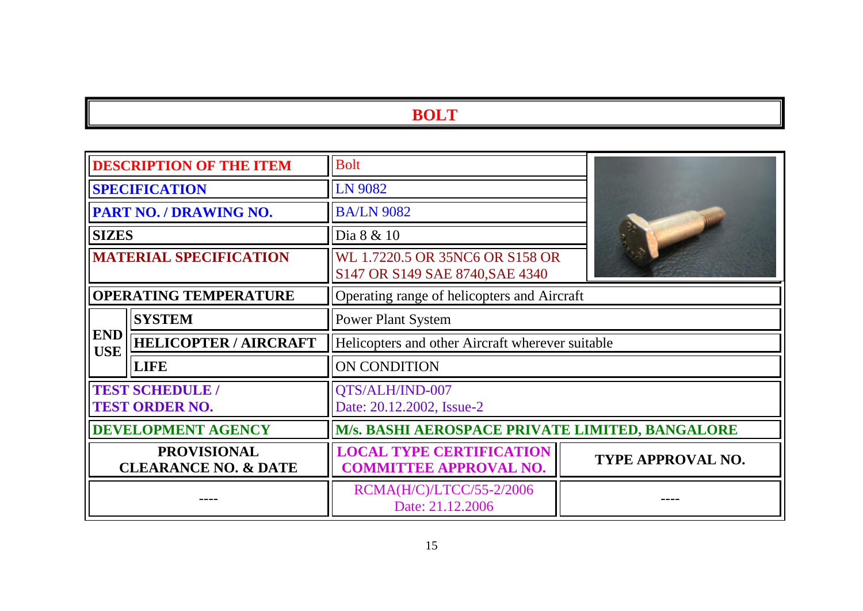| <b>DESCRIPTION OF THE ITEM</b>                        |                                                 | <b>Bolt</b>                                                        |                          |  |
|-------------------------------------------------------|-------------------------------------------------|--------------------------------------------------------------------|--------------------------|--|
| <b>SPECIFICATION</b>                                  |                                                 | LN 9082                                                            |                          |  |
| PART NO. / DRAWING NO.                                |                                                 | <b>BA/LN 9082</b>                                                  |                          |  |
| <b>SIZES</b>                                          |                                                 | Dia 8 & 10                                                         |                          |  |
| <b>MATERIAL SPECIFICATION</b>                         |                                                 | WL 1.7220.5 OR 35NC6 OR S158 OR<br>S147 OR S149 SAE 8740, SAE 4340 |                          |  |
| <b>OPERATING TEMPERATURE</b>                          |                                                 | Operating range of helicopters and Aircraft                        |                          |  |
|                                                       | <b>SYSTEM</b>                                   | <b>Power Plant System</b>                                          |                          |  |
| <b>END</b><br><b>USE</b>                              | <b>HELICOPTER / AIRCRAFT</b>                    | Helicopters and other Aircraft wherever suitable                   |                          |  |
|                                                       | <b>LIFE</b>                                     | ON CONDITION                                                       |                          |  |
|                                                       | <b>TEST SCHEDULE /</b><br><b>TEST ORDER NO.</b> | QTS/ALH/IND-007<br>Date: 20.12.2002, Issue-2                       |                          |  |
| <b>DEVELOPMENT AGENCY</b>                             |                                                 | <b>M/s. BASHI AEROSPACE PRIVATE LIMITED, BANGALORE</b>             |                          |  |
| <b>PROVISIONAL</b><br><b>CLEARANCE NO. &amp; DATE</b> |                                                 | <b>LOCAL TYPE CERTIFICATION</b><br><b>COMMITTEE APPROVAL NO.</b>   | <b>TYPE APPROVAL NO.</b> |  |
|                                                       |                                                 | RCMA(H/C)/LTCC/55-2/2006<br>Date: 21.12.2006                       |                          |  |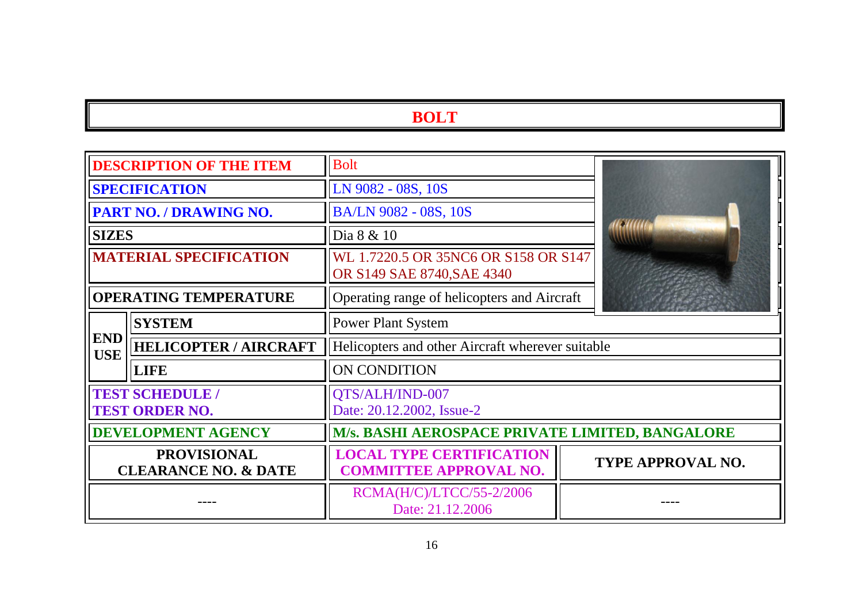| <b>DESCRIPTION OF THE ITEM</b>                        |                              | <b>Bolt</b>                                                        |                          |  |
|-------------------------------------------------------|------------------------------|--------------------------------------------------------------------|--------------------------|--|
| <b>SPECIFICATION</b>                                  |                              | LN 9082 - 08S, 10S                                                 |                          |  |
| PART NO. / DRAWING NO.                                |                              | BA/LN 9082 - 08S, 10S                                              |                          |  |
| <b>SIZES</b>                                          |                              | Dia 8 & 10                                                         |                          |  |
| <b>MATERIAL SPECIFICATION</b>                         |                              | WL 1.7220.5 OR 35NC6 OR S158 OR S147<br>OR S149 SAE 8740, SAE 4340 |                          |  |
| <b>OPERATING TEMPERATURE</b>                          |                              | Operating range of helicopters and Aircraft                        |                          |  |
|                                                       | <b>SYSTEM</b>                | <b>Power Plant System</b>                                          |                          |  |
| <b>END</b><br><b>USE</b>                              | <b>HELICOPTER / AIRCRAFT</b> | Helicopters and other Aircraft wherever suitable                   |                          |  |
|                                                       | <b>LIFE</b>                  | ON CONDITION                                                       |                          |  |
| <b>TEST SCHEDULE /</b><br><b>TEST ORDER NO.</b>       |                              | QTS/ALH/IND-007<br>Date: 20.12.2002, Issue-2                       |                          |  |
| <b>DEVELOPMENT AGENCY</b>                             |                              | M/s. BASHI AEROSPACE PRIVATE LIMITED, BANGALORE                    |                          |  |
| <b>PROVISIONAL</b><br><b>CLEARANCE NO. &amp; DATE</b> |                              | <b>LOCAL TYPE CERTIFICATION</b><br><b>COMMITTEE APPROVAL NO.</b>   | <b>TYPE APPROVAL NO.</b> |  |
|                                                       |                              | RCMA(H/C)/LTCC/55-2/2006<br>Date: 21.12.2006                       |                          |  |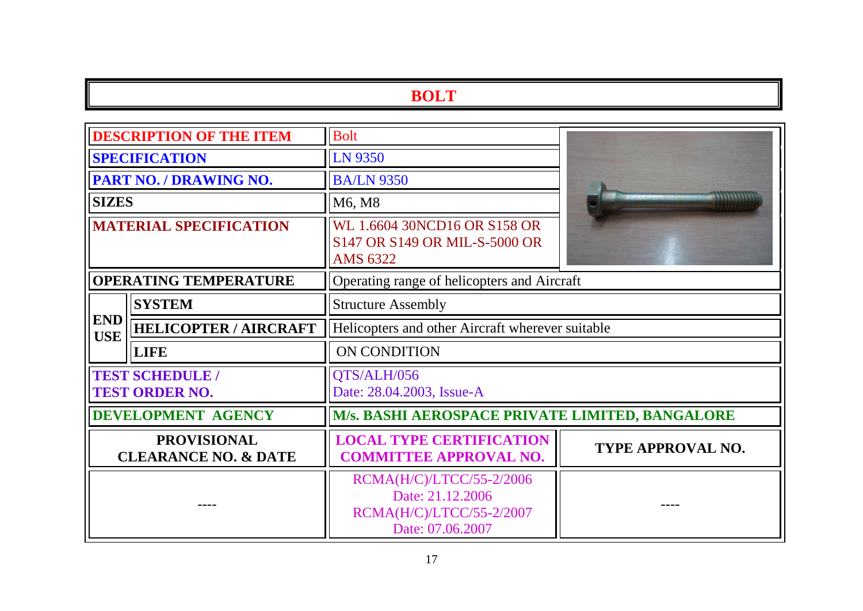| <b>DESCRIPTION OF THE ITEM</b>                        |                              | <b>Bolt</b>                                                                                  |                          |  |
|-------------------------------------------------------|------------------------------|----------------------------------------------------------------------------------------------|--------------------------|--|
| <b>SPECIFICATION</b>                                  |                              | LN 9350                                                                                      |                          |  |
| <b>PART NO. / DRAWING NO.</b>                         |                              | <b>BA/LN 9350</b>                                                                            |                          |  |
| <b>SIZES</b>                                          |                              | M6, M8                                                                                       |                          |  |
| <b>MATERIAL SPECIFICATION</b>                         |                              | WL 1.6604 30NCD16 OR S158 OR<br>S147 OR S149 OR MIL-S-5000 OR<br>AMS 6322                    |                          |  |
| <b>OPERATING TEMPERATURE</b>                          |                              | Operating range of helicopters and Aircraft                                                  |                          |  |
|                                                       | <b>SYSTEM</b>                | <b>Structure Assembly</b>                                                                    |                          |  |
| <b>END</b><br><b>USE</b>                              | <b>HELICOPTER / AIRCRAFT</b> | Helicopters and other Aircraft wherever suitable                                             |                          |  |
|                                                       | <b>LIFE</b>                  | ON CONDITION                                                                                 |                          |  |
| <b>TEST SCHEDULE /</b><br><b>TEST ORDER NO.</b>       |                              | QTS/ALH/056<br>Date: 28.04.2003, Issue-A                                                     |                          |  |
| <b>DEVELOPMENT AGENCY</b>                             |                              | M/s. BASHI AEROSPACE PRIVATE LIMITED, BANGALORE                                              |                          |  |
| <b>PROVISIONAL</b><br><b>CLEARANCE NO. &amp; DATE</b> |                              | <b>LOCAL TYPE CERTIFICATION</b><br><b>COMMITTEE APPROVAL NO.</b>                             | <b>TYPE APPROVAL NO.</b> |  |
|                                                       |                              | RCMA(H/C)/LTCC/55-2/2006<br>Date: 21.12.2006<br>RCMA(H/C)/LTCC/55-2/2007<br>Date: 07.06.2007 |                          |  |